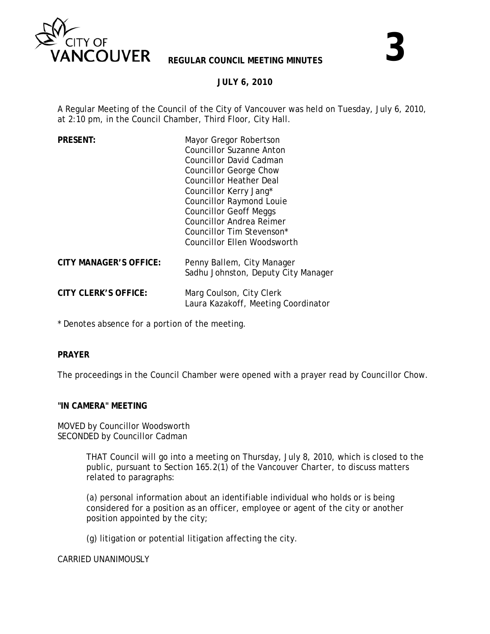

#### **JULY 6, 2010**

A Regular Meeting of the Council of the City of Vancouver was held on Tuesday, July 6, 2010, at 2:10 pm, in the Council Chamber, Third Floor, City Hall.

| <b>PRESENT:</b>               | Mayor Gregor Robertson<br><b>Councillor Suzanne Anton</b><br>Councillor David Cadman<br>Councillor George Chow<br><b>Councillor Heather Deal</b><br>Councillor Kerry Jang*<br><b>Councillor Raymond Louie</b><br><b>Councillor Geoff Meggs</b><br><b>Councillor Andrea Reimer</b><br>Councillor Tim Stevenson*<br>Councillor Ellen Woodsworth |
|-------------------------------|-----------------------------------------------------------------------------------------------------------------------------------------------------------------------------------------------------------------------------------------------------------------------------------------------------------------------------------------------|
| <b>CITY MANAGER'S OFFICE:</b> | Penny Ballem, City Manager<br>Sadhu Johnston, Deputy City Manager                                                                                                                                                                                                                                                                             |
| <b>CITY CLERK'S OFFICE:</b>   | Marg Coulson, City Clerk<br>Laura Kazakoff, Meeting Coordinator                                                                                                                                                                                                                                                                               |

\* Denotes absence for a portion of the meeting.

#### **PRAYER**

The proceedings in the Council Chamber were opened with a prayer read by Councillor Chow.

#### **"IN CAMERA" MEETING**

MOVED by Councillor Woodsworth SECONDED by Councillor Cadman

> THAT Council will go into a meeting on Thursday, July 8, 2010, which is closed to the public, pursuant to Section 165.2(1) of the *Vancouver Charter*, to discuss matters related to paragraphs:

 (a) personal information about an identifiable individual who holds or is being considered for a position as an officer, employee or agent of the city or another position appointed by the city;

(g) litigation or potential litigation affecting the city.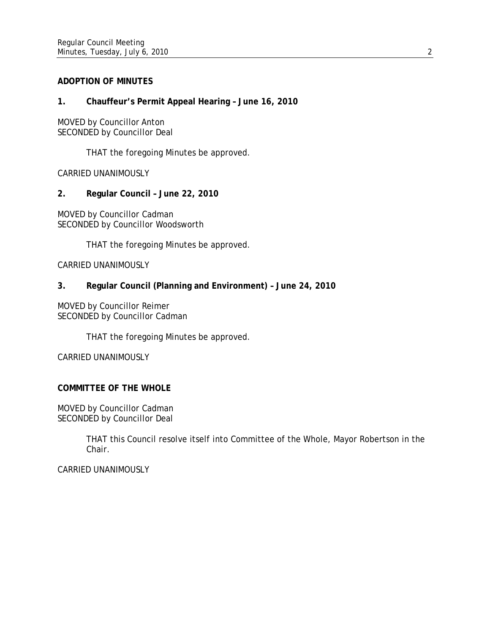## **ADOPTION OF MINUTES**

## **1. Chauffeur's Permit Appeal Hearing – June 16, 2010**

MOVED by Councillor Anton SECONDED by Councillor Deal

THAT the foregoing Minutes be approved.

CARRIED UNANIMOUSLY

**2. Regular Council – June 22, 2010** 

MOVED by Councillor Cadman SECONDED by Councillor Woodsworth

THAT the foregoing Minutes be approved.

CARRIED UNANIMOUSLY

## **3. Regular Council (Planning and Environment) – June 24, 2010**

MOVED by Councillor Reimer SECONDED by Councillor Cadman

THAT the foregoing Minutes be approved.

CARRIED UNANIMOUSLY

# **COMMITTEE OF THE WHOLE**

MOVED by Councillor Cadman SECONDED by Councillor Deal

> THAT this Council resolve itself into Committee of the Whole, Mayor Robertson in the Chair.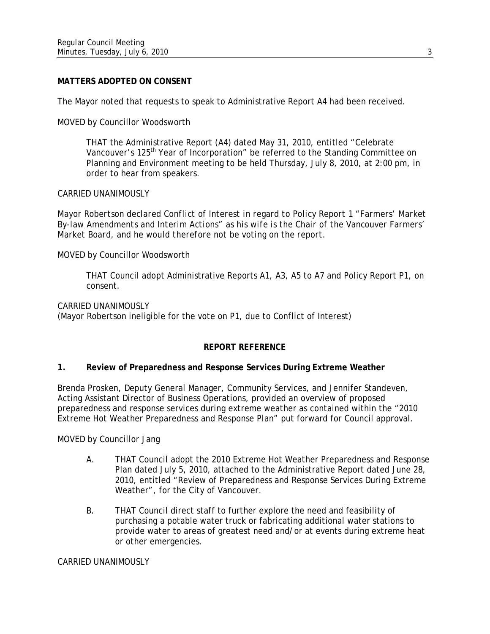#### **MATTERS ADOPTED ON CONSENT**

The Mayor noted that requests to speak to Administrative Report A4 had been received.

MOVED by Councillor Woodsworth

THAT the Administrative Report (A4) dated May 31, 2010, entitled "Celebrate Vancouver's 125<sup>th</sup> Year of Incorporation" be referred to the Standing Committee on Planning and Environment meeting to be held Thursday, July 8, 2010, at 2:00 pm, in order to hear from speakers.

#### CARRIED UNANIMOUSLY

*Mayor Robertson declared Conflict of Interest in regard to Policy Report 1 "Farmers' Market By-law Amendments and Interim Actions" as his wife is the Chair of the Vancouver Farmers' Market Board, and he would therefore not be voting on the report.* 

MOVED by Councillor Woodsworth

THAT Council adopt Administrative Reports A1, A3, A5 to A7 and Policy Report P1, on consent.

CARRIED UNANIMOUSLY

(Mayor Robertson ineligible for the vote on P1, due to Conflict of Interest)

#### **REPORT REFERENCE**

#### **1. Review of Preparedness and Response Services During Extreme Weather**

Brenda Prosken, Deputy General Manager, Community Services, and Jennifer Standeven, Acting Assistant Director of Business Operations, provided an overview of proposed preparedness and response services during extreme weather as contained within the "2010 Extreme Hot Weather Preparedness and Response Plan" put forward for Council approval.

MOVED by Councillor Jang

- A. THAT Council adopt the 2010 Extreme Hot Weather Preparedness and Response Plan dated July 5, 2010, attached to the Administrative Report dated June 28, 2010, entitled "Review of Preparedness and Response Services During Extreme Weather", for the City of Vancouver.
- B. THAT Council direct staff to further explore the need and feasibility of purchasing a potable water truck or fabricating additional water stations to provide water to areas of greatest need and/or at events during extreme heat or other emergencies.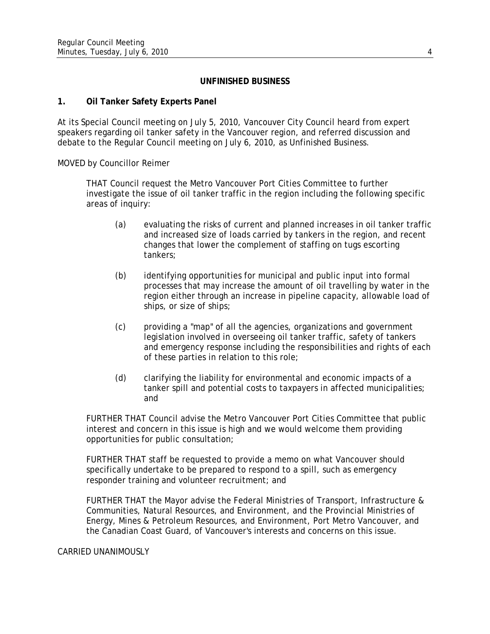# **UNFINISHED BUSINESS**

# **1. Oil Tanker Safety Experts Panel**

At its Special Council meeting on July 5, 2010, Vancouver City Council heard from expert speakers regarding oil tanker safety in the Vancouver region, and referred discussion and debate to the Regular Council meeting on July 6, 2010, as Unfinished Business.

MOVED by Councillor Reimer

THAT Council request the Metro Vancouver Port Cities Committee to further investigate the issue of oil tanker traffic in the region including the following specific areas of inquiry:

- (a) evaluating the risks of current and planned increases in oil tanker traffic and increased size of loads carried by tankers in the region, and recent changes that lower the complement of staffing on tugs escorting tankers;
- (b) identifying opportunities for municipal and public input into formal processes that may increase the amount of oil travelling by water in the region either through an increase in pipeline capacity, allowable load of ships, or size of ships;
- (c) providing a "map" of all the agencies, organizations and government legislation involved in overseeing oil tanker traffic, safety of tankers and emergency response including the responsibilities and rights of each of these parties in relation to this role;
- (d) clarifying the liability for environmental and economic impacts of a tanker spill and potential costs to taxpayers in affected municipalities; and

FURTHER THAT Council advise the Metro Vancouver Port Cities Committee that public interest and concern in this issue is high and we would welcome them providing opportunities for public consultation;

FURTHER THAT staff be requested to provide a memo on what Vancouver should specifically undertake to be prepared to respond to a spill, such as emergency responder training and volunteer recruitment; and

FURTHER THAT the Mayor advise the Federal Ministries of Transport, Infrastructure & Communities, Natural Resources, and Environment, and the Provincial Ministries of Energy, Mines & Petroleum Resources, and Environment, Port Metro Vancouver, and the Canadian Coast Guard, of Vancouver's interests and concerns on this issue.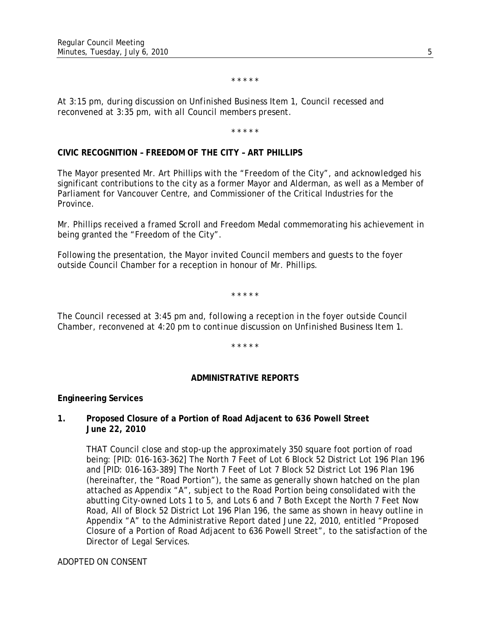#### \* \* \* \* \*

*At 3:15 pm, during discussion on Unfinished Business Item 1, Council recessed and reconvened at 3:35 pm, with all Council members present.* 

\* \* \* \* \*

## **CIVIC RECOGNITION – FREEDOM OF THE CITY – ART PHILLIPS**

The Mayor presented Mr. Art Phillips with the "Freedom of the City", and acknowledged his significant contributions to the city as a former Mayor and Alderman, as well as a Member of Parliament for Vancouver Centre, and Commissioner of the Critical Industries for the Province.

Mr. Phillips received a framed Scroll and Freedom Medal commemorating his achievement in being granted the "Freedom of the City".

Following the presentation, the Mayor invited Council members and guests to the foyer outside Council Chamber for a reception in honour of Mr. Phillips.

\* \* \* \* \*

*The Council recessed at 3:45 pm and, following a reception in the foyer outside Council Chamber, reconvened at 4:20 pm to continue discussion on Unfinished Business Item 1.* 

\* \* \* \* \*

#### **ADMINISTRATIVE REPORTS**

#### **Engineering Services**

## **1. Proposed Closure of a Portion of Road Adjacent to 636 Powell Street June 22, 2010**

THAT Council close and stop-up the approximately 350 square foot portion of road being: [PID: 016-163-362] The North 7 Feet of Lot 6 Block 52 District Lot 196 Plan 196 and [PID: 016-163-389] The North 7 Feet of Lot 7 Block 52 District Lot 196 Plan 196 (hereinafter, the "Road Portion"), the same as generally shown hatched on the plan attached as Appendix "A", subject to the Road Portion being consolidated with the abutting City-owned Lots 1 to 5, and Lots 6 and 7 Both Except the North 7 Feet Now Road, All of Block 52 District Lot 196 Plan 196, the same as shown in heavy outline in Appendix "A" to the Administrative Report dated June 22, 2010, entitled "Proposed Closure of a Portion of Road Adjacent to 636 Powell Street", to the satisfaction of the Director of Legal Services.

ADOPTED ON CONSENT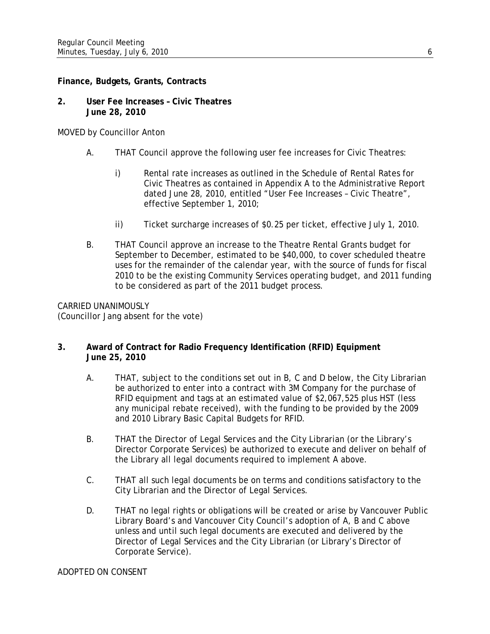## **Finance, Budgets, Grants, Contracts**

**2. User Fee Increases – Civic Theatres June 28, 2010** 

MOVED by Councillor Anton

- A. THAT Council approve the following user fee increases for Civic Theatres:
	- i) Rental rate increases as outlined in the Schedule of Rental Rates for Civic Theatres as contained in Appendix A to the Administrative Report dated June 28, 2010, entitled "User Fee Increases – Civic Theatre", effective September 1, 2010;
	- ii) Ticket surcharge increases of \$0.25 per ticket, effective July 1, 2010.
- B. THAT Council approve an increase to the Theatre Rental Grants budget for September to December, estimated to be \$40,000, to cover scheduled theatre uses for the remainder of the calendar year, with the source of funds for fiscal 2010 to be the existing Community Services operating budget, and 2011 funding to be considered as part of the 2011 budget process.

CARRIED UNANIMOUSLY (Councillor Jang absent for the vote)

# **3. Award of Contract for Radio Frequency Identification (RFID) Equipment June 25, 2010**

- A. THAT, subject to the conditions set out in B, C and D below, the City Librarian be authorized to enter into a contract with 3M Company for the purchase of RFID equipment and tags at an estimated value of \$2,067,525 plus HST (less any municipal rebate received), with the funding to be provided by the 2009 and 2010 Library Basic Capital Budgets for RFID.
- B. THAT the Director of Legal Services and the City Librarian (or the Library's Director Corporate Services) be authorized to execute and deliver on behalf of the Library all legal documents required to implement A above.
- C. THAT all such legal documents be on terms and conditions satisfactory to the City Librarian and the Director of Legal Services.
- D. THAT no legal rights or obligations will be created or arise by Vancouver Public Library Board's and Vancouver City Council's adoption of A, B and C above unless and until such legal documents are executed and delivered by the Director of Legal Services and the City Librarian (or Library's Director of Corporate Service).

ADOPTED ON CONSENT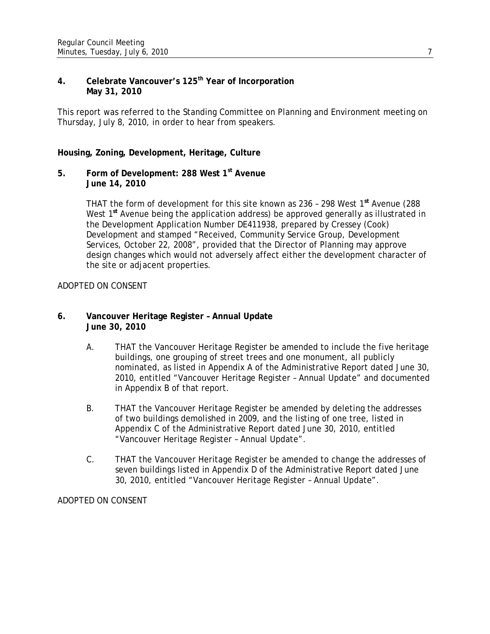# **4. Celebrate Vancouver's 125th Year of Incorporation May 31, 2010**

This report was referred to the Standing Committee on Planning and Environment meeting on Thursday, July 8, 2010, in order to hear from speakers.

## **Housing, Zoning, Development, Heritage, Culture**

**5. Form of Development: 288 West 1st Avenue June 14, 2010** 

> THAT the form of development for this site known as 236 – 298 West 1**st** Avenue (288 West 1**st** Avenue being the application address) be approved generally as illustrated in the Development Application Number DE411938, prepared by Cressey (Cook) Development and stamped "Received, Community Service Group, Development Services, October 22, 2008", provided that the Director of Planning may approve design changes which would not adversely affect either the development character of the site or adjacent properties.

## ADOPTED ON CONSENT

## **6. Vancouver Heritage Register – Annual Update June 30, 2010**

- A. THAT the Vancouver Heritage Register be amended to include the five heritage buildings, one grouping of street trees and one monument, all publicly nominated, as listed in Appendix A of the Administrative Report dated June 30, 2010, entitled "Vancouver Heritage Register – Annual Update" and documented in Appendix B of that report.
- B. THAT the Vancouver Heritage Register be amended by deleting the addresses of two buildings demolished in 2009, and the listing of one tree, listed in Appendix C of the Administrative Report dated June 30, 2010, entitled "Vancouver Heritage Register – Annual Update".
- C. THAT the Vancouver Heritage Register be amended to change the addresses of seven buildings listed in Appendix D of the Administrative Report dated June 30, 2010, entitled "Vancouver Heritage Register – Annual Update".

ADOPTED ON CONSENT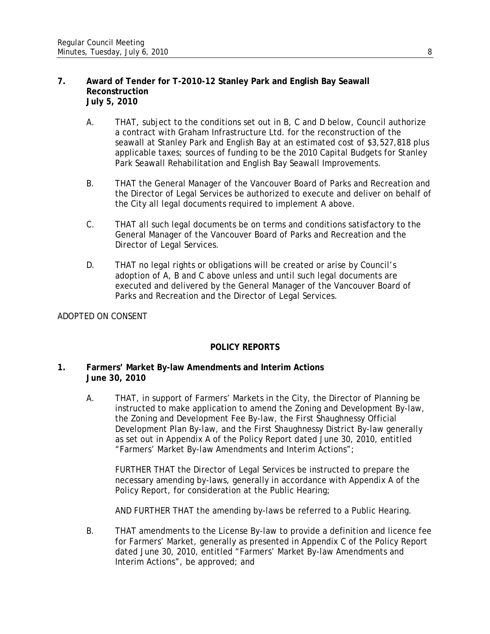#### **7. Award of Tender for T-2010-12 Stanley Park and English Bay Seawall Reconstruction July 5, 2010**

- A. THAT, subject to the conditions set out in B, C and D below, Council authorize a contract with Graham Infrastructure Ltd. for the reconstruction of the seawall at Stanley Park and English Bay at an estimated cost of \$3,527,818 plus applicable taxes; sources of funding to be the 2010 Capital Budgets for Stanley Park Seawall Rehabilitation and English Bay Seawall Improvements.
- B. THAT the General Manager of the Vancouver Board of Parks and Recreation and the Director of Legal Services be authorized to execute and deliver on behalf of the City all legal documents required to implement A above.
- C. THAT all such legal documents be on terms and conditions satisfactory to the General Manager of the Vancouver Board of Parks and Recreation and the Director of Legal Services.
- D. THAT no legal rights or obligations will be created or arise by Council's adoption of A, B and C above unless and until such legal documents are executed and delivered by the General Manager of the Vancouver Board of Parks and Recreation and the Director of Legal Services.

# ADOPTED ON CONSENT

# **POLICY REPORTS**

## **1. Farmers' Market By-law Amendments and Interim Actions June 30, 2010**

A. THAT, in support of Farmers' Markets in the City, the Director of Planning be instructed to make application to amend the Zoning and Development By-law, the Zoning and Development Fee By-law, the First Shaughnessy Official Development Plan By-law, and the First Shaughnessy District By-law generally as set out in Appendix A of the Policy Report dated June 30, 2010, entitled "Farmers' Market By-law Amendments and Interim Actions";

FURTHER THAT the Director of Legal Services be instructed to prepare the necessary amending by-laws, generally in accordance with Appendix A of the Policy Report, for consideration at the Public Hearing;

AND FURTHER THAT the amending by-laws be referred to a Public Hearing.

B. THAT amendments to the License By-law to provide a definition and licence fee for Farmers' Market, generally as presented in Appendix C of the Policy Report dated June 30, 2010, entitled "Farmers' Market By-law Amendments and Interim Actions", be approved; and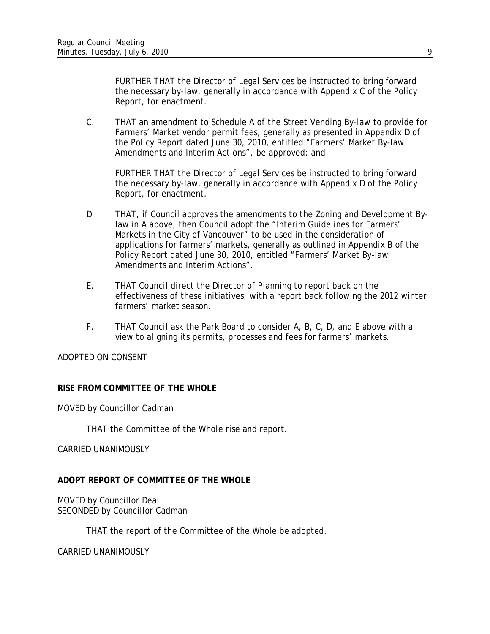FURTHER THAT the Director of Legal Services be instructed to bring forward the necessary by-law, generally in accordance with Appendix C of the Policy Report, for enactment.

C. THAT an amendment to Schedule A of the Street Vending By-law to provide for Farmers' Market vendor permit fees, generally as presented in Appendix D of the Policy Report dated June 30, 2010, entitled "Farmers' Market By-law Amendments and Interim Actions", be approved; and

FURTHER THAT the Director of Legal Services be instructed to bring forward the necessary by-law, generally in accordance with Appendix D of the Policy Report, for enactment.

- D. THAT, if Council approves the amendments to the Zoning and Development Bylaw in A above, then Council adopt the "Interim Guidelines for Farmers' Markets in the City of Vancouver" to be used in the consideration of applications for farmers' markets, generally as outlined in Appendix B of the Policy Report dated June 30, 2010, entitled "Farmers' Market By-law Amendments and Interim Actions".
- E. THAT Council direct the Director of Planning to report back on the effectiveness of these initiatives, with a report back following the 2012 winter farmers' market season.
- F. THAT Council ask the Park Board to consider A, B, C, D, and E above with a view to aligning its permits, processes and fees for farmers' markets.

# ADOPTED ON CONSENT

# **RISE FROM COMMITTEE OF THE WHOLE**

MOVED by Councillor Cadman

THAT the Committee of the Whole rise and report.

CARRIED UNANIMOUSLY

# **ADOPT REPORT OF COMMITTEE OF THE WHOLE**

MOVED by Councillor Deal SECONDED by Councillor Cadman

THAT the report of the Committee of the Whole be adopted.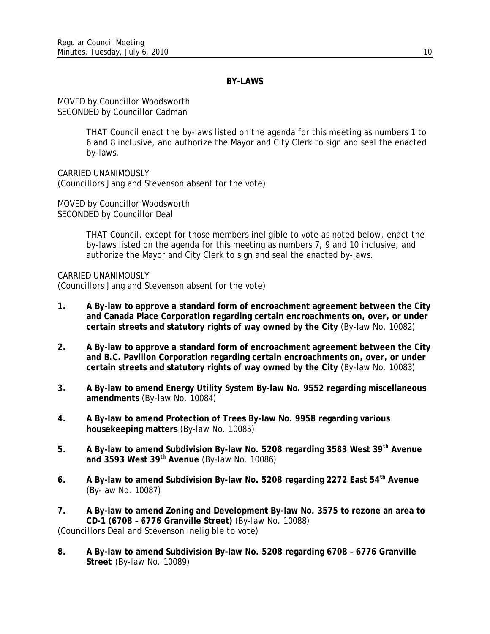## **BY-LAWS**

MOVED by Councillor Woodsworth SECONDED by Councillor Cadman

> THAT Council enact the by-laws listed on the agenda for this meeting as numbers 1 to 6 and 8 inclusive, and authorize the Mayor and City Clerk to sign and seal the enacted by-laws.

CARRIED UNANIMOUSLY (Councillors Jang and Stevenson absent for the vote)

MOVED by Councillor Woodsworth SECONDED by Councillor Deal

> THAT Council, except for those members ineligible to vote as noted below, enact the by-laws listed on the agenda for this meeting as numbers 7, 9 and 10 inclusive, and authorize the Mayor and City Clerk to sign and seal the enacted by-laws.

CARRIED UNANIMOUSLY (Councillors Jang and Stevenson absent for the vote)

- **1. A By-law to approve a standard form of encroachment agreement between the City and Canada Place Corporation regarding certain encroachments on, over, or under certain streets and statutory rights of way owned by the City** (By-law No. 10082)
- **2. A By-law to approve a standard form of encroachment agreement between the City and B.C. Pavilion Corporation regarding certain encroachments on, over, or under certain streets and statutory rights of way owned by the City** (By-law No. 10083)
- **3. A By-law to amend Energy Utility System By-law No. 9552 regarding miscellaneous amendments** (By-law No. 10084)
- **4. A By-law to amend Protection of Trees By-law No. 9958 regarding various housekeeping matters** (By-law No. 10085)
- **5. A By-law to amend Subdivision By-law No. 5208 regarding 3583 West 39th Avenue and 3593 West 39th Avenue** (By-law No. 10086)
- **6. A By-law to amend Subdivision By-law No. 5208 regarding 2272 East 54th Avenue**  (By-law No. 10087)
- **7. A By-law to amend Zoning and Development By-law No. 3575 to rezone an area to CD-1 (6708 – 6776 Granville Street)** (By-law No. 10088) *(Councillors Deal and Stevenson ineligible to vote)*
- **8. A By-law to amend Subdivision By-law No. 5208 regarding 6708 6776 Granville Street** (By-law No. 10089)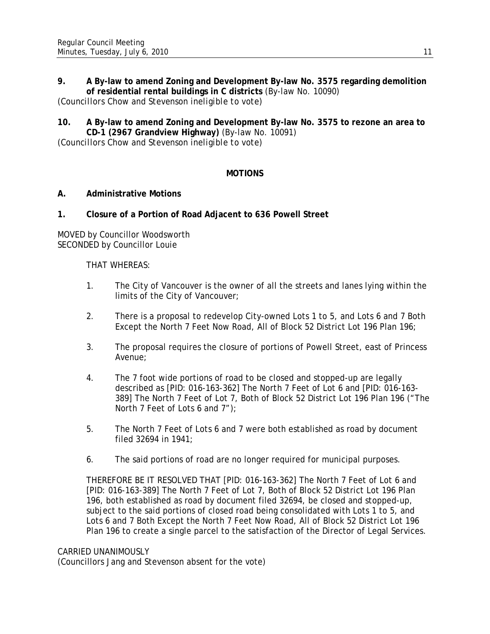# **9. A By-law to amend Zoning and Development By-law No. 3575 regarding demolition of residential rental buildings in C districts** (By-law No. 10090)

*(Councillors Chow and Stevenson ineligible to vote)* 

# **10. A By-law to amend Zoning and Development By-law No. 3575 to rezone an area to CD-1 (2967 Grandview Highway)** (By-law No. 10091)

*(Councillors Chow and Stevenson ineligible to vote)* 

# **MOTIONS**

# **A. Administrative Motions**

# **1. Closure of a Portion of Road Adjacent to 636 Powell Street**

MOVED by Councillor Woodsworth SECONDED by Councillor Louie

## THAT WHEREAS:

- 1. The City of Vancouver is the owner of all the streets and lanes lying within the limits of the City of Vancouver;
- 2. There is a proposal to redevelop City-owned Lots 1 to 5, and Lots 6 and 7 Both Except the North 7 Feet Now Road, All of Block 52 District Lot 196 Plan 196;
- 3. The proposal requires the closure of portions of Powell Street, east of Princess Avenue;
- 4. The 7 foot wide portions of road to be closed and stopped-up are legally described as [PID: 016-163-362] The North 7 Feet of Lot 6 and [PID: 016-163- 389] The North 7 Feet of Lot 7, Both of Block 52 District Lot 196 Plan 196 ("The North 7 Feet of Lots 6 and 7");
- 5. The North 7 Feet of Lots 6 and 7 were both established as road by document filed 32694 in 1941;
- 6. The said portions of road are no longer required for municipal purposes.

THEREFORE BE IT RESOLVED THAT [PID: 016-163-362] The North 7 Feet of Lot 6 and [PID: 016-163-389] The North 7 Feet of Lot 7, Both of Block 52 District Lot 196 Plan 196, both established as road by document filed 32694, be closed and stopped-up, subject to the said portions of closed road being consolidated with Lots 1 to 5, and Lots 6 and 7 Both Except the North 7 Feet Now Road, All of Block 52 District Lot 196 Plan 196 to create a single parcel to the satisfaction of the Director of Legal Services.

#### CARRIED UNANIMOUSLY

(Councillors Jang and Stevenson absent for the vote)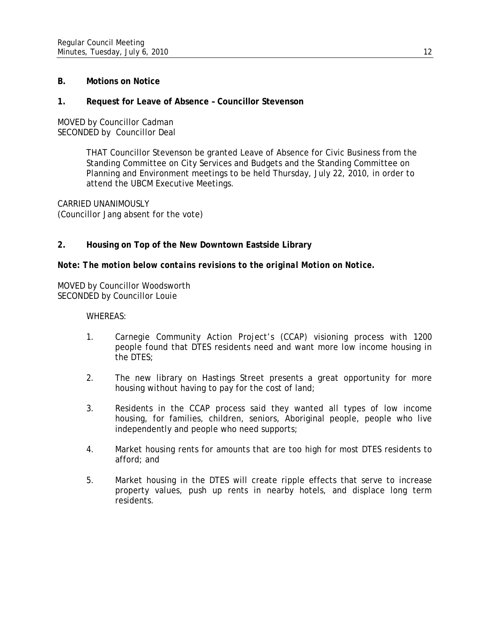## **B. Motions on Notice**

#### **1. Request for Leave of Absence – Councillor Stevenson**

MOVED by Councillor Cadman SECONDED by Councillor Deal

> THAT Councillor Stevenson be granted Leave of Absence for Civic Business from the Standing Committee on City Services and Budgets and the Standing Committee on Planning and Environment meetings to be held Thursday, July 22, 2010, in order to attend the UBCM Executive Meetings.

CARRIED UNANIMOUSLY (Councillor Jang absent for the vote)

## **2. Housing on Top of the New Downtown Eastside Library**

#### *Note: The motion below contains revisions to the original Motion on Notice.*

MOVED by Councillor Woodsworth SECONDED by Councillor Louie

WHEREAS:

- 1. Carnegie Community Action Project's (CCAP) visioning process with 1200 people found that DTES residents need and want more low income housing in the DTES;
- 2. The new library on Hastings Street presents a great opportunity for more housing without having to pay for the cost of land;
- 3. Residents in the CCAP process said they wanted all types of low income housing, for families, children, seniors, Aboriginal people, people who live independently and people who need supports;
- 4. Market housing rents for amounts that are too high for most DTES residents to afford; and
- 5. Market housing in the DTES will create ripple effects that serve to increase property values, push up rents in nearby hotels, and displace long term residents.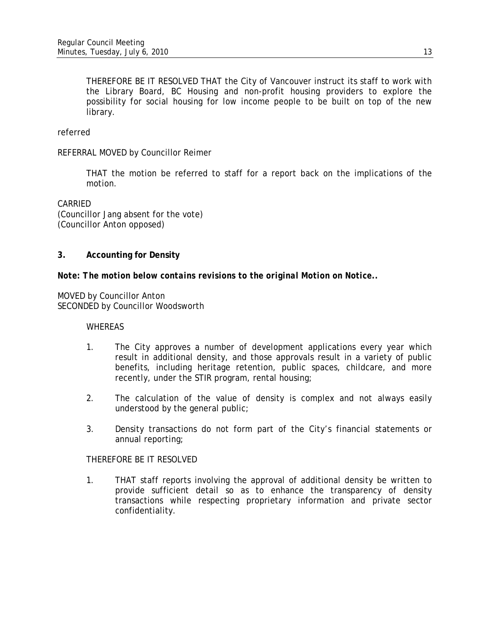THEREFORE BE IT RESOLVED THAT the City of Vancouver instruct its staff to work with the Library Board, BC Housing and non-profit housing providers to explore the possibility for social housing for low income people to be built on top of the new library.

## referred

## REFERRAL MOVED by Councillor Reimer

 THAT the motion be referred to staff for a report back on the implications of the motion.

CARRIED (Councillor Jang absent for the vote) (Councillor Anton opposed)

## **3. Accounting for Density**

## *Note: The motion below contains revisions to the original Motion on Notice..*

MOVED by Councillor Anton SECONDED by Councillor Woodsworth

#### WHEREAS

- 1. The City approves a number of development applications every year which result in additional density, and those approvals result in a variety of public benefits, including heritage retention, public spaces, childcare, and more recently, under the STIR program, rental housing;
- 2. The calculation of the value of density is complex and not always easily understood by the general public;
- 3. Density transactions do not form part of the City's financial statements or annual reporting;

## THEREFORE BE IT RESOLVED

1. THAT staff reports involving the approval of additional density be written to provide sufficient detail so as to enhance the transparency of density transactions while respecting proprietary information and private sector confidentiality.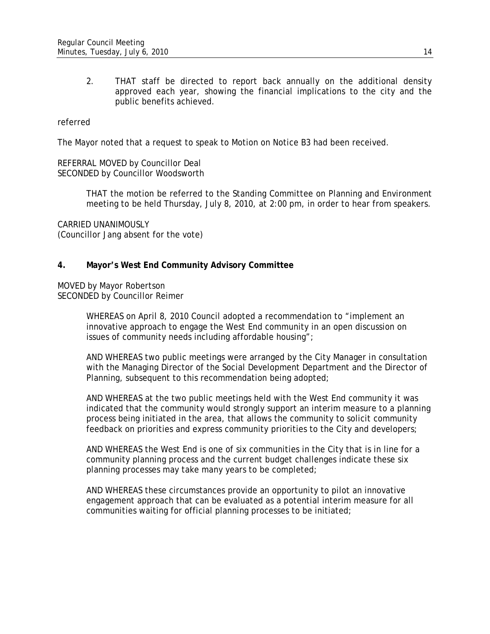2. THAT staff be directed to report back annually on the additional density approved each year, showing the financial implications to the city and the public benefits achieved.

#### referred

The Mayor noted that a request to speak to Motion on Notice B3 had been received.

REFERRAL MOVED by Councillor Deal SECONDED by Councillor Woodsworth

> THAT the motion be referred to the Standing Committee on Planning and Environment meeting to be held Thursday, July 8, 2010, at 2:00 pm, in order to hear from speakers.

CARRIED UNANIMOUSLY (Councillor Jang absent for the vote)

## **4. Mayor's West End Community Advisory Committee**

MOVED by Mayor Robertson SECONDED by Councillor Reimer

> WHEREAS on April 8, 2010 Council adopted a recommendation to "implement an innovative approach to engage the West End community in an open discussion on issues of community needs including affordable housing";

AND WHEREAS two public meetings were arranged by the City Manager in consultation with the Managing Director of the Social Development Department and the Director of Planning, subsequent to this recommendation being adopted;

AND WHEREAS at the two public meetings held with the West End community it was indicated that the community would strongly support an interim measure to a planning process being initiated in the area, that allows the community to solicit community feedback on priorities and express community priorities to the City and developers;

AND WHEREAS the West End is one of six communities in the City that is in line for a community planning process and the current budget challenges indicate these six planning processes may take many years to be completed;

AND WHEREAS these circumstances provide an opportunity to pilot an innovative engagement approach that can be evaluated as a potential interim measure for all communities waiting for official planning processes to be initiated;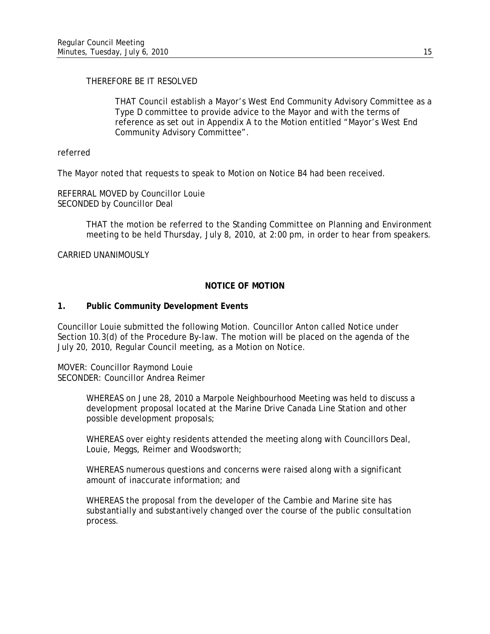# THEREFORE BE IT RESOLVED

THAT Council establish a Mayor's West End Community Advisory Committee as a Type D committee to provide advice to the Mayor and with the terms of reference as set out in Appendix A to the Motion entitled "Mayor's West End Community Advisory Committee".

referred

The Mayor noted that requests to speak to Motion on Notice B4 had been received.

REFERRAL MOVED by Councillor Louie SECONDED by Councillor Deal

> THAT the motion be referred to the Standing Committee on Planning and Environment meeting to be held Thursday, July 8, 2010, at 2:00 pm, in order to hear from speakers.

CARRIED UNANIMOUSLY

## **NOTICE OF MOTION**

#### **1. Public Community Development Events**

Councillor Louie submitted the following Motion. Councillor Anton called Notice under Section 10.3(d) of the Procedure By-law. The motion will be placed on the agenda of the July 20, 2010, Regular Council meeting, as a Motion on Notice.

MOVER: Councillor Raymond Louie SECONDER: Councillor Andrea Reimer

> WHEREAS on June 28, 2010 a Marpole Neighbourhood Meeting was held to discuss a development proposal located at the Marine Drive Canada Line Station and other possible development proposals;

WHEREAS over eighty residents attended the meeting along with Councillors Deal, Louie, Meggs, Reimer and Woodsworth;

WHEREAS numerous questions and concerns were raised along with a significant amount of inaccurate information; and

WHEREAS the proposal from the developer of the Cambie and Marine site has substantially and substantively changed over the course of the public consultation process.